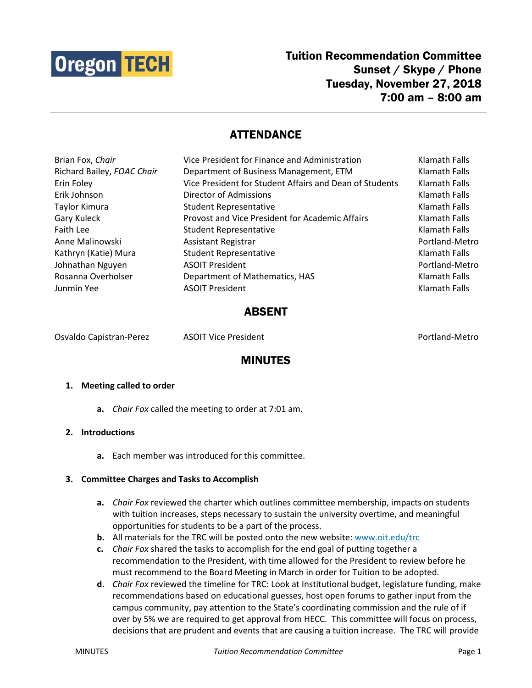

# ATTENDANCE

| Klamath Falls  |
|----------------|
| Klamath Falls  |
| Klamath Falls  |
| Klamath Falls  |
| Klamath Falls  |
| Klamath Falls  |
| Portland-Metro |
| Klamath Falls  |
| Portland-Metro |
| Klamath Falls  |
| Klamath Falls  |
|                |

# ABSENT

Osvaldo Capistran-Perez ASOIT Vice President Portland-Metro

# MINUTES

### **1. Meeting called to order**

**a.** *Chair Fox* called the meeting to order at 7:01 am.

## **2. Introductions**

**a.** Each member was introduced for this committee.

### **3. Committee Charges and Tasks to Accomplish**

- **a.** *Chair Fox* reviewed the charter which outlines committee membership, impacts on students with tuition increases, steps necessary to sustain the university overtime, and meaningful opportunities for students to be a part of the process.
- **b.** All materials for the TRC will be posted onto the new website: [www.oit.edu/trc](http://www.oit.edu/trc)
- **c.** *Chair Fox* shared the tasks to accomplish for the end goal of putting together a recommendation to the President, with time allowed for the President to review before he must recommend to the Board Meeting in March in order for Tuition to be adopted.
- **d.** *Chair Fox* reviewed the timeline for TRC: Look at Institutional budget, legislature funding, make recommendations based on educational guesses, host open forums to gather input from the campus community, pay attention to the State's coordinating commission and the rule of if over by 5% we are required to get approval from HECC. This committee will focus on process, decisions that are prudent and events that are causing a tuition increase. The TRC will provide